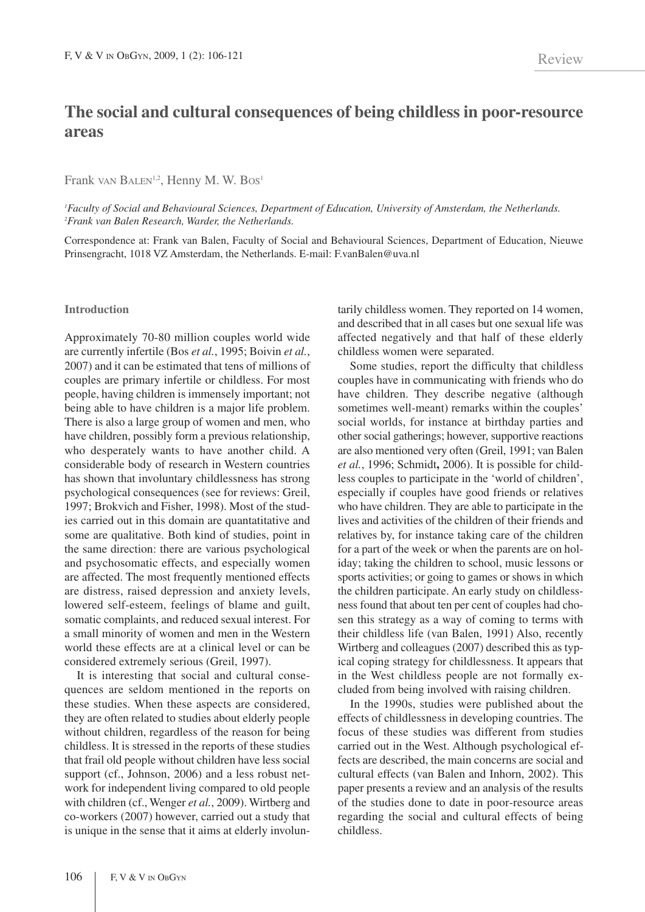# **The social and cultural consequences of being childless in poor-resource areas**

## Frank VAN BALEN<sup>1,2</sup>, Henny M. W. Bos<sup>1</sup>

*1 Faculty of Social and Behavioural Sciences, Department of Education, University of Amsterdam, the Netherlands. 2 Frank van Balen Research, Warder, the Netherlands.*

Correspondence at: Frank van Balen, Faculty of Social and Behavioural Sciences, Department of Education, Nieuwe Prinsengracht, 1018 VZ Amsterdam, the Netherlands. E-mail: F.vanBalen@uva.nl

#### **Introduction**

Approximately 70-80 million couples world wide are currently infertile (Bos *et al.*, 1995; Boivin *et al.*, 2007) and it can be estimated that tens of millions of couples are primary infertile or childless. For most people, having children is immensely important; not being able to have children is a major life problem. There is also a large group of women and men, who have children, possibly form a previous relationship, who desperately wants to have another child. A considerable body of research in Western countries has shown that involuntary childlessness has strong psychological consequences (see for reviews: Greil, 1997; Brokvich and Fisher, 1998). Most of the studies carried out in this domain are quantatitative and some are qualitative. Both kind of studies, point in the same direction: there are various psychological and psychosomatic effects, and especially women are affected. The most frequently mentioned effects are distress, raised depression and anxiety levels, lowered self-esteem, feelings of blame and guilt, somatic complaints, and reduced sexual interest. For a small minority of women and men in the Western world these effects are at a clinical level or can be considered extremely serious (Greil, 1997).

It is interesting that social and cultural consequences are seldom mentioned in the reports on these studies. When these aspects are considered, they are often related to studies about elderly people without children, regardless of the reason for being childless. It is stressed in the reports of these studies that frail old people without children have less social support (cf., Johnson, 2006) and a less robust network for independent living compared to old people with children (cf., Wenger *et al.*, 2009). Wirtberg and co-workers (2007) however, carried out a study that is unique in the sense that it aims at elderly involuntarily childless women. They reported on 14 women, and described that in all cases but one sexual life was affected negatively and that half of these elderly childless women were separated.

Some studies, report the difficulty that childless couples have in communicating with friends who do have children. They describe negative (although sometimes well-meant) remarks within the couples' social worlds, for instance at birthday parties and other social gatherings; however, supportive reactions are also mentioned very often (Greil, 1991; van Balen *et al.*, 1996; Schmidt**,** 2006). It is possible for childless couples to participate in the 'world of children', especially if couples have good friends or relatives who have children. They are able to participate in the lives and activities of the children of their friends and relatives by, for instance taking care of the children for a part of the week or when the parents are on holiday; taking the children to school, music lessons or sports activities; or going to games or shows in which the children participate. An early study on childlessness found that about ten per cent of couples had chosen this strategy as a way of coming to terms with their childless life (van Balen, 1991) Also, recently Wirtberg and colleagues (2007) described this as typical coping strategy for childlessness. It appears that in the West childless people are not formally excluded from being involved with raising children.

In the 1990s, studies were published about the effects of childlessness in developing countries. The focus of these studies was different from studies carried out in the West. Although psychological effects are described, the main concerns are social and cultural effects (van Balen and Inhorn, 2002). This paper presents a review and an analysis of the results of the studies done to date in poor-resource areas regarding the social and cultural effects of being childless.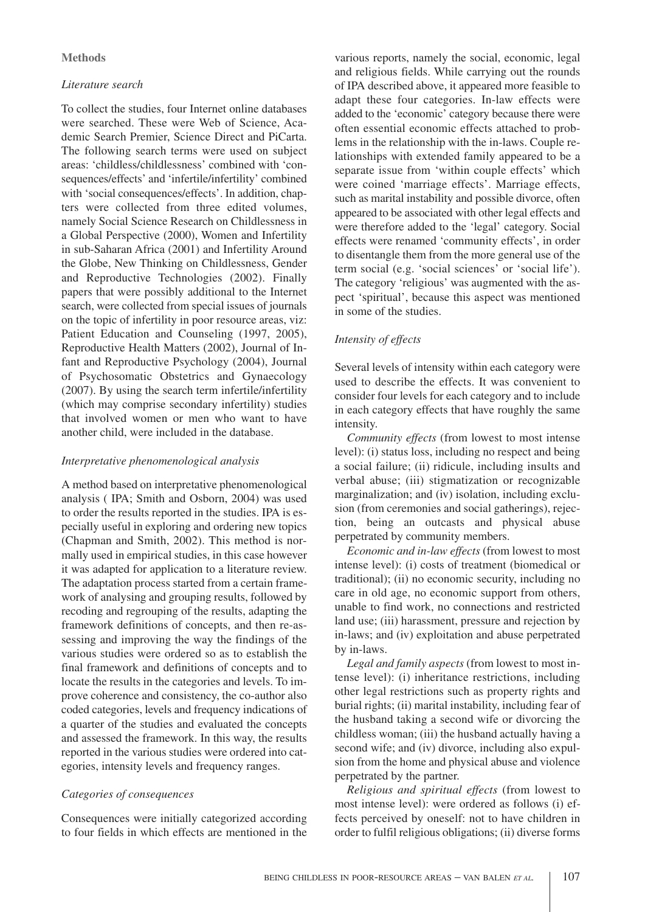## **Methods**

## *Literature search*

To collect the studies, four Internet online databases were searched. These were Web of Science, Academic Search Premier, Science Direct and PiCarta. The following search terms were used on subject areas: 'childless/childlessness' combined with 'consequences/effects' and 'infertile/infertility' combined with 'social consequences/effects'. In addition, chapters were collected from three edited volumes, namely Social Science Research on Childlessness in a Global Perspective (2000), Women and Infertility in sub-Saharan Africa (2001) and Infertility Around the Globe, New Thinking on Childlessness, Gender and Reproductive Technologies (2002). Finally papers that were possibly additional to the Internet search, were collected from special issues of journals on the topic of infertility in poor resource areas, viz: Patient Education and Counseling (1997, 2005), Reproductive Health Matters (2002), Journal of Infant and Reproductive Psychology (2004), Journal of Psychosomatic Obstetrics and Gynaecology (2007). By using the search term infertile/infertility (which may comprise secondary infertility) studies that involved women or men who want to have another child, were included in the database.

## *Interpretative phenomenological analysis*

A method based on interpretative phenomenological analysis ( IPA; Smith and Osborn, 2004) was used to order the results reported in the studies. IPA is especially useful in exploring and ordering new topics (Chapman and Smith, 2002). This method is normally used in empirical studies, in this case however it was adapted for application to a literature review. The adaptation process started from a certain framework of analysing and grouping results, followed by recoding and regrouping of the results, adapting the framework definitions of concepts, and then re-assessing and improving the way the findings of the various studies were ordered so as to establish the final framework and definitions of concepts and to locate the results in the categories and levels. To improve coherence and consistency, the co-author also coded categories, levels and frequency indications of a quarter of the studies and evaluated the concepts and assessed the framework. In this way, the results reported in the various studies were ordered into categories, intensity levels and frequency ranges.

# *Categories of consequences*

Consequences were initially categorized according to four fields in which effects are mentioned in the

various reports, namely the social, economic, legal and religious fields. While carrying out the rounds of IPA described above, it appeared more feasible to adapt these four categories. In-law effects were added to the 'economic' category because there were often essential economic effects attached to problems in the relationship with the in-laws. Couple relationships with extended family appeared to be a separate issue from 'within couple effects' which were coined 'marriage effects'. Marriage effects, such as marital instability and possible divorce, often appeared to be associated with other legal effects and were therefore added to the 'legal' category. Social effects were renamed 'community effects', in order to disentangle them from the more general use of the term social (e.g. 'social sciences' or 'social life'). The category 'religious' was augmented with the aspect 'spiritual', because this aspect was mentioned in some of the studies.

# *Intensity of effects*

Several levels of intensity within each category were used to describe the effects. It was convenient to consider four levels for each category and to include in each category effects that have roughly the same intensity.

*Community effects* (from lowest to most intense level): (i) status loss, including no respect and being a social failure; (ii) ridicule, including insults and verbal abuse; (iii) stigmatization or recognizable marginalization; and (iv) isolation, including exclusion (from ceremonies and social gatherings), rejection, being an outcasts and physical abuse perpetrated by community members.

*Economic and in-law effects* (from lowest to most intense level): (i) costs of treatment (biomedical or traditional); (ii) no economic security, including no care in old age, no economic support from others, unable to find work, no connections and restricted land use; (iii) harassment, pressure and rejection by in-laws; and (iv) exploitation and abuse perpetrated by in-laws.

*Legal and family aspects* (from lowest to most intense level): (i) inheritance restrictions, including other legal restrictions such as property rights and burial rights; (ii) marital instability, including fear of the husband taking a second wife or divorcing the childless woman; (iii) the husband actually having a second wife; and (iv) divorce, including also expulsion from the home and physical abuse and violence perpetrated by the partner.

*Religious and spiritual effects* (from lowest to most intense level): were ordered as follows (i) effects perceived by oneself: not to have children in order to fulfil religious obligations; (ii) diverse forms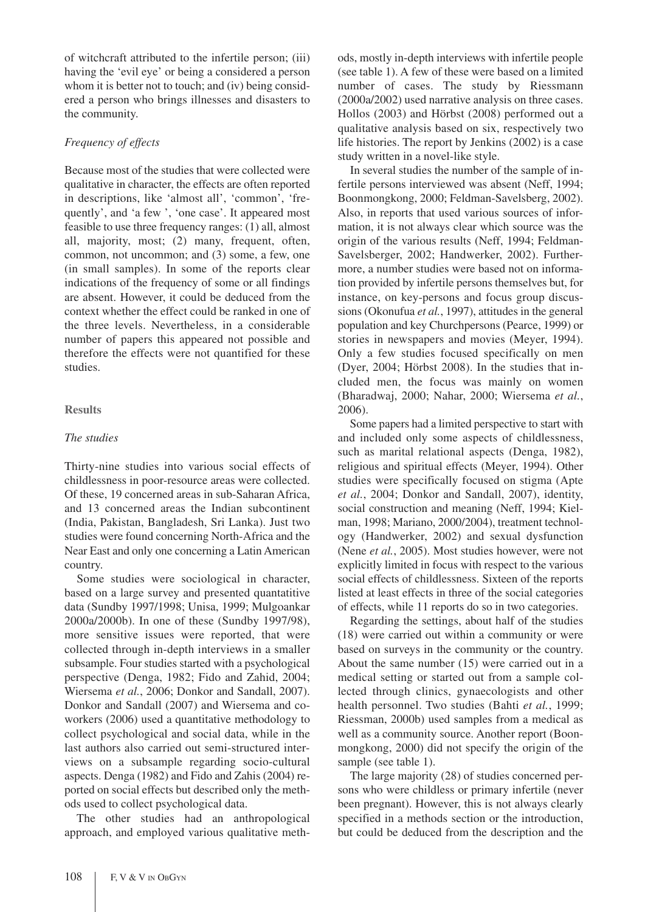of witchcraft attributed to the infertile person; (iii) having the 'evil eye' or being a considered a person whom it is better not to touch; and (iv) being considered a person who brings illnesses and disasters to the community.

## *Frequency of effects*

Because most of the studies that were collected were qualitative in character, the effects are often reported in descriptions, like 'almost all', 'common', 'frequently', and 'a few ', 'one case'. It appeared most feasible to use three frequency ranges: (1) all, almost all, majority, most; (2) many, frequent, often, common, not uncommon; and (3) some, a few, one (in small samples). In some of the reports clear indications of the frequency of some or all findings are absent. However, it could be deduced from the context whether the effect could be ranked in one of the three levels. Nevertheless, in a considerable number of papers this appeared not possible and therefore the effects were not quantified for these studies.

# **Results**

## *The studies*

Thirty-nine studies into various social effects of childlessness in poor-resource areas were collected. Of these, 19 concerned areas in sub-Saharan Africa, and 13 concerned areas the Indian subcontinent (India, Pakistan, Bangladesh, Sri Lanka). Just two studies were found concerning North-Africa and the Near East and only one concerning a Latin American country.

Some studies were sociological in character, based on a large survey and presented quantatitive data (Sundby 1997/1998; Unisa, 1999; Mulgoankar 2000a/2000b). In one of these (Sundby 1997/98), more sensitive issues were reported, that were collected through in-depth interviews in a smaller subsample. Four studies started with a psychological perspective (Denga, 1982; Fido and Zahid, 2004; Wiersema *et al.*, 2006; Donkor and Sandall, 2007). Donkor and Sandall (2007) and Wiersema and coworkers (2006) used a quantitative methodology to collect psychological and social data, while in the last authors also carried out semi-structured interviews on a subsample regarding socio-cultural aspects. Denga (1982) and Fido and Zahis (2004) reported on social effects but described only the methods used to collect psychological data.

The other studies had an anthropological approach, and employed various qualitative methods, mostly in-depth interviews with infertile people (see table 1). A few of these were based on a limited number of cases. The study by Riessmann (2000a/2002) used narrative analysis on three cases. Hollos (2003) and Hörbst (2008) performed out a qualitative analysis based on six, respectively two life histories. The report by Jenkins (2002) is a case study written in a novel-like style.

In several studies the number of the sample of infertile persons interviewed was absent (Neff, 1994; Boonmongkong, 2000; Feldman-Savelsberg, 2002). Also, in reports that used various sources of information, it is not always clear which source was the origin of the various results (Neff, 1994; Feldman-Savelsberger, 2002; Handwerker, 2002). Furthermore, a number studies were based not on information provided by infertile persons themselves but, for instance, on key-persons and focus group discussions (Okonufua *et al.*, 1997), attitudes in the general population and key Churchpersons (Pearce, 1999) or stories in newspapers and movies (Meyer, 1994). Only a few studies focused specifically on men (Dyer, 2004; Hörbst 2008). In the studies that included men, the focus was mainly on women (Bharadwaj, 2000; Nahar, 2000; Wiersema *et al.*, 2006).

Some papers had a limited perspective to start with and included only some aspects of childlessness, such as marital relational aspects (Denga, 1982), religious and spiritual effects (Meyer, 1994). Other studies were specifically focused on stigma (Apte *et al.*, 2004; Donkor and Sandall, 2007), identity, social construction and meaning (Neff, 1994; Kielman, 1998; Mariano, 2000/2004), treatment technology (Handwerker, 2002) and sexual dysfunction (Nene *et al.*, 2005). Most studies however, were not explicitly limited in focus with respect to the various social effects of childlessness. Sixteen of the reports listed at least effects in three of the social categories of effects, while 11 reports do so in two categories.

Regarding the settings, about half of the studies (18) were carried out within a community or were based on surveys in the community or the country. About the same number (15) were carried out in a medical setting or started out from a sample collected through clinics, gynaecologists and other health personnel. Two studies (Bahti *et al.*, 1999; Riessman, 2000b) used samples from a medical as well as a community source. Another report (Boonmongkong, 2000) did not specify the origin of the sample (see table 1).

The large majority (28) of studies concerned persons who were childless or primary infertile (never been pregnant). However, this is not always clearly specified in a methods section or the introduction, but could be deduced from the description and the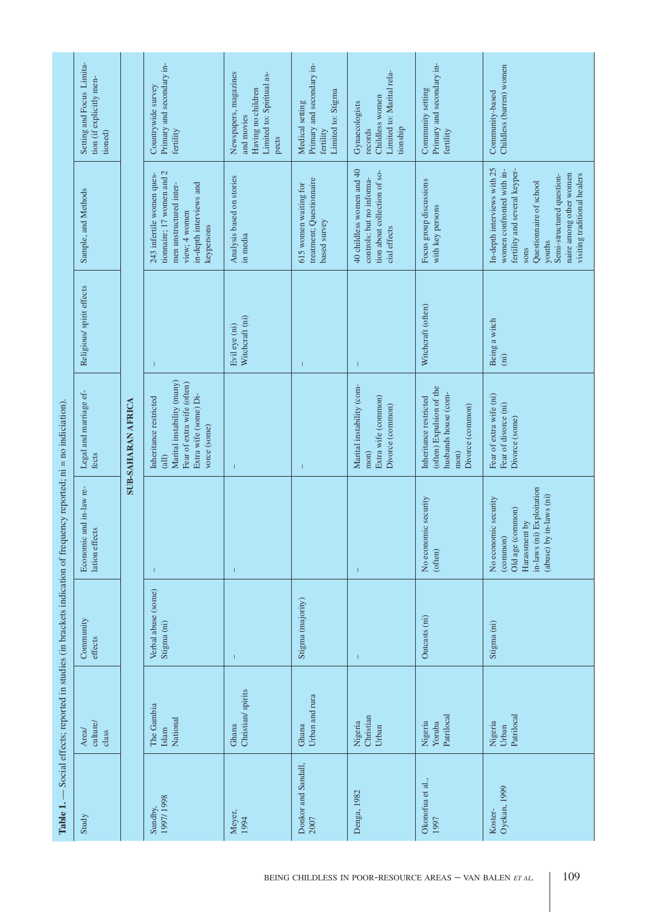| Table 1.                    |                                 |                                    | Social effects; reported in studies (in brackets indication of frequency reported; ni = no indiciation)                          |                                                                                                                                      |                                  |                                                                                                                                                                                                                                |                                                                                                 |
|-----------------------------|---------------------------------|------------------------------------|----------------------------------------------------------------------------------------------------------------------------------|--------------------------------------------------------------------------------------------------------------------------------------|----------------------------------|--------------------------------------------------------------------------------------------------------------------------------------------------------------------------------------------------------------------------------|-------------------------------------------------------------------------------------------------|
| Study                       | culture/<br>Area<br>class       | Community<br>effects               | and in-law re-<br>lation effects<br>Economic                                                                                     | Legal and marriage ef-<br>fects                                                                                                      | Religious/ spirit effects        | Sample, and Methods                                                                                                                                                                                                            | Setting and Focus Limita-<br>tion (if explicitly men-<br>tioned)                                |
|                             |                                 |                                    |                                                                                                                                  | <b>SUB-SAHARAN AFRICA</b>                                                                                                            |                                  |                                                                                                                                                                                                                                |                                                                                                 |
| 1997/1998<br>Sundby,        | The Gambia<br>National<br>Islam | Verbal abuse (some)<br>Stigma (ni) |                                                                                                                                  | Marital instability (many)<br>Fear of extra wife (often)<br>Extra wife (some) Di-<br>Inheritance restricted<br>vorce (some)<br>(iil) | $\mathbf{I}$                     | tionnaire; 17 women and 2<br>243 infertile women ques-<br>in-depth interviews and<br>men unstructured inter-<br>view; 4 women<br>keypersons                                                                                    | Primary and secondary in-<br>Countrywide survey<br>fertility                                    |
| Meyer,<br>1994              | Christian/ spirits<br>Ghana     | 1                                  | $\overline{1}$                                                                                                                   | -1                                                                                                                                   | Witchcraft (ni)<br>Evil eye (ni) | Analysis based on stories<br>in media                                                                                                                                                                                          | Newspapers, magazines<br>Limited to: Spiritual as-<br>Having no children<br>and movies<br>pects |
| Donkor and Sandall,<br>2007 | Urban and rura<br>Ghana         | Stigma (majority)                  |                                                                                                                                  | -1                                                                                                                                   | $\mathbf{I}$                     | treatment; Questionnaire<br>615 women waiting for<br>based survey                                                                                                                                                              | Primary and secondary in-<br>Limited to: Stigma<br>Medical setting<br>fertility                 |
| Denga, 1982                 | Nigeria<br>Christian<br>Urban   | T                                  |                                                                                                                                  | Marital instability (com-<br>Extra wife (common)<br>Divorce (common)<br>$m$ on)                                                      | $\overline{\phantom{a}}$         | 40 childless women and 40<br>tion about collection of so-<br>controls: but no informa-<br>cial effects                                                                                                                         | Limited to: Marital rela-<br>Childless women<br>Gynaecologists<br>tionship<br>records           |
| Okonofua et al.,<br>1997    | Patrilocal<br>Nigeria<br>Yoruba | Outcasts (ni)                      | No economic security<br>(often)                                                                                                  | (often) Expulsion of the<br>husbands house (com-<br>Inheritance restricted<br>Divorce (common)<br>$m$ on                             | Witchcraft (often)               | Focus group discussions<br>with key persons                                                                                                                                                                                    | Primary and secondary in-<br>Community setting<br>fertility                                     |
| Oyekan, 1999<br>Koster-     | Patrilocal<br>Nigeria<br>Urban  | Stigma (ni)                        | in-laws (ni) Exploitation<br>in-laws (ni)<br>No economic security<br>Old age (common)<br>Harassment by<br>(common)<br>(abuse) by | Fear of extra wife (ni)<br>Fear of divorce (ni)<br>Divorce (some)                                                                    | Being a witch<br>(iii)           | In-depth interviews with 25<br>women confronted with in-<br>fertility and several keyper-<br>naire among other women<br>visiting traditional healers<br>Semi-structured question-<br>Questionnaire of school<br>youths<br>sons | Childless (barren) women<br>Community-based                                                     |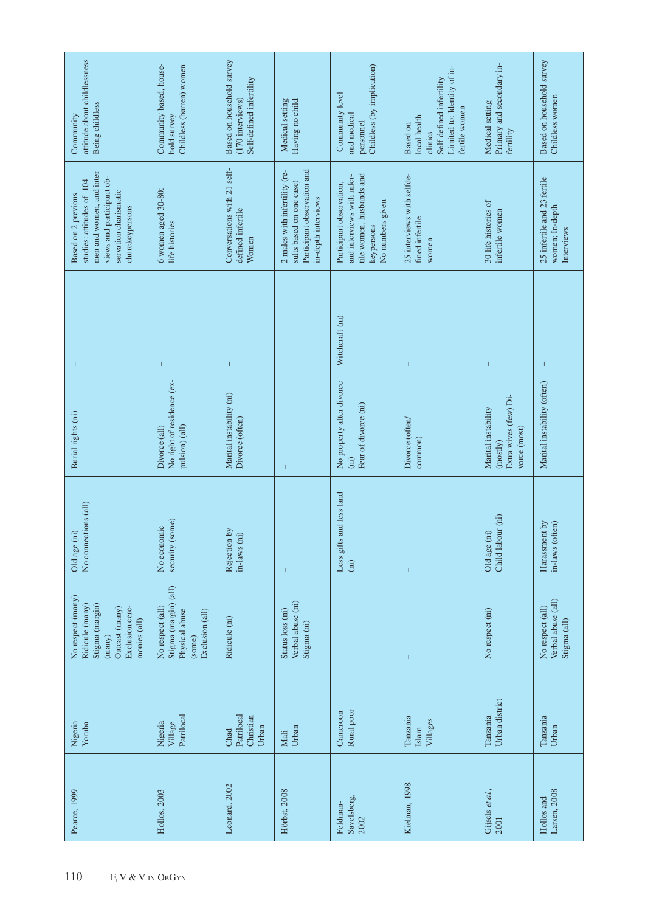| attitude about childlessness<br>Being childless<br>Community                                                                                           | Community based, house-<br>Childless (barren) women<br>hold survey                       | Based on household survey<br>Self-defined infertility<br>(170 interviews) | Medical setting<br>Having no child                                                                              | Childless (by implication)<br>Community level<br>and medical<br>personnel                                            | Limited to: Identity of in-<br>Self-defined infertility<br>fertile women<br>local health<br><b>Based</b> on<br>clinics | Primary and secondary in-<br>Medical setting<br>fertility                | Based on household survey<br>Childless women                 |
|--------------------------------------------------------------------------------------------------------------------------------------------------------|------------------------------------------------------------------------------------------|---------------------------------------------------------------------------|-----------------------------------------------------------------------------------------------------------------|----------------------------------------------------------------------------------------------------------------------|------------------------------------------------------------------------------------------------------------------------|--------------------------------------------------------------------------|--------------------------------------------------------------|
| men and women, and inter-<br>views and participant ob-<br>studies: attitudes of 104<br>servation charismatic<br>Based on 2 previous<br>churckeypersons | 6 women aged 30-80:<br>life histories                                                    | Conversations with 21 self-<br>defined infertile<br>Women                 | Participant observation and<br>2 males with infertility (re-<br>sults based on one case)<br>in-depth interviews | tile women, husbands and<br>and interviews with infer-<br>Participant observation,<br>No numbers given<br>keypersons | 25 interviews with selfde-<br>fined infertile<br>women                                                                 | 30 life histories of<br>infertile women                                  | 25 infertile and 23 fertile<br>women; In-depth<br>Interviews |
| 1                                                                                                                                                      | T                                                                                        | 1                                                                         |                                                                                                                 | Witchcraft (ni)                                                                                                      | $\mathbf{I}$                                                                                                           | -1                                                                       | T                                                            |
| Burial rights (ni)                                                                                                                                     | No right of residence (ex-<br>pulsion) (all)<br>Divorce (all)                            | Marital instability (ni)<br>Divorce (often)                               |                                                                                                                 | No property after divorce<br>Fear of divorce (ni)<br>(iii)                                                           | Divorce (often/<br>common)                                                                                             | Extra wives (few) Di-<br>Marital instability<br>vorce (most)<br>(mostly) | Marital instability (often)                                  |
| No connections (all)<br>Old age (ni)                                                                                                                   | security (some)<br>No economic                                                           | Rejection by<br>in-laws (ni)                                              | $\mathbf{I}$                                                                                                    | and less land<br>Less gifts<br>$\rm (ni)$                                                                            | $\mathbf{I}$                                                                                                           | Child labour (ni)<br>Old age (ni)                                        | Harassment by<br>in-laws (often)                             |
| No respect (many)<br>Ridicule (many)<br>Stigma (margin)<br>Exclusion cere-<br>Outcast (many)<br>monies (all)<br>(many)                                 | Stigma (margin) (all)<br>No respect (all)<br>Physical abuse<br>Exclusion (all)<br>(some) | Ridicule (ni)                                                             | Verbal abuse (ni)<br>Status loss (ni)<br>Stigma (ni)                                                            |                                                                                                                      | T                                                                                                                      | No respect (ni)                                                          | Verbal abuse (all)<br>No respect (all)<br>Stigma (all)       |
| Nigeria<br>Yoruba                                                                                                                                      | Patrilocal<br>Nigeria<br>Village                                                         | Patrilocal<br>Christian<br>Urban<br>Chad                                  | Urban<br>Mali                                                                                                   | Rural poor<br>Cameroon                                                                                               | Tanzania<br>Villages<br>Islam                                                                                          | Urban district<br>Tanzania                                               | Tanzania<br>Urban                                            |
| Pearce, 1999                                                                                                                                           | Hollos, 2003                                                                             | Leonard, 2002                                                             | Hörbst, 2008                                                                                                    | Savelsberg,<br>Feldman-<br>2002                                                                                      | Kielman, 1998                                                                                                          | Gijsels et al.,<br>2001                                                  | Larsen, 2008<br>Hollos and                                   |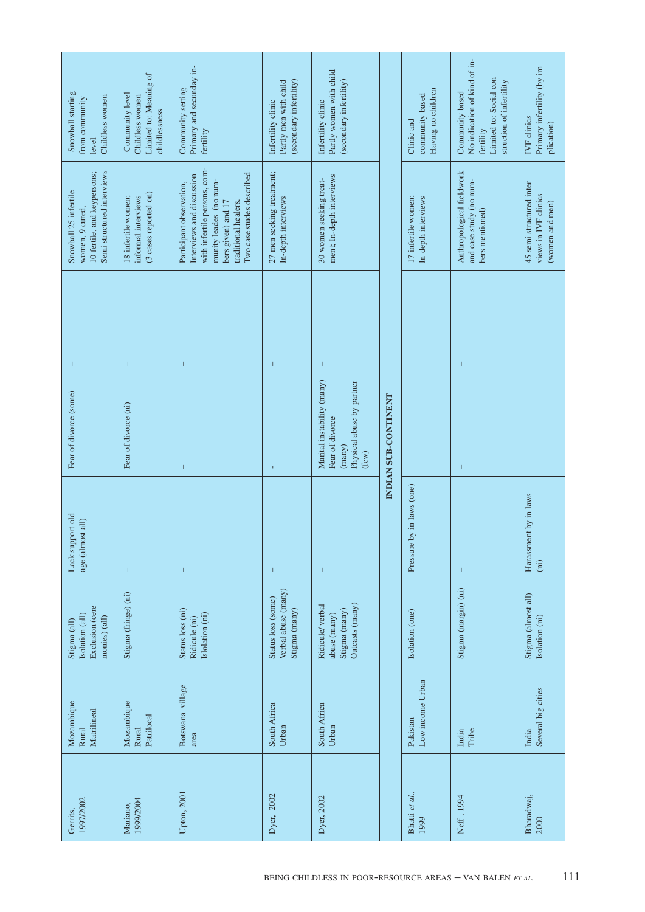| Snowball starting<br>Childless women<br>from community<br>level                                       | Limited to: Meaning of<br>Community level<br>Childless women<br>childlessness | Primary and secunday in-<br>Community setting<br>fertility                                                                                                                                 | (secondary infertility)<br>Partly men with child<br>Infertility clinic | Partly women with child<br>(secondary infertility)<br>Infertility clinic                              |                      | Having no children<br>community based<br>Clinic and | No indication of kind of in-<br>Limited to: Social con-<br>struction of infertility<br>Community based<br>fertility | Primary infertility (by im-<br>IVF clinics<br>plication)             |
|-------------------------------------------------------------------------------------------------------|-------------------------------------------------------------------------------|--------------------------------------------------------------------------------------------------------------------------------------------------------------------------------------------|------------------------------------------------------------------------|-------------------------------------------------------------------------------------------------------|----------------------|-----------------------------------------------------|---------------------------------------------------------------------------------------------------------------------|----------------------------------------------------------------------|
| Semi structured interviews<br>10 fertile, and keypersons;<br>Snowball 25 infertile<br>women, 9 cured, | $(3 \csc s$ reported on)<br>18 infertile women;<br>informal interviews        | with infertile persons, com-<br>Two case studes described<br>Interviews and discussion<br>munity leades (no num-<br>Participant observation,<br>bers given) and 17<br>traditional healers. | 27 men seeking treatment;<br>In-depth interviews                       | ment; In-depth interviews<br>30 women seeking treat-                                                  |                      | 17 infertile women;<br>In-depth interviews          | Anthropological fieldwork<br>and case study (no num-<br>bers mentioned)                                             | 45 semi structured inter-<br>views in IVF clinics<br>(women and men) |
| T                                                                                                     | T                                                                             | $\mathsf I$                                                                                                                                                                                | T                                                                      | 1                                                                                                     |                      | 1                                                   | $\overline{1}$                                                                                                      | $\overline{\phantom{a}}$                                             |
| Fear of divorce (some)                                                                                | Fear of divorce (ni)                                                          | $\mathsf I$                                                                                                                                                                                | $\mathbf{I}$                                                           | Marital instability (many)<br>Physical abuse by partner<br>Fear of divorce<br>$(\text{many})$<br>few) | INDIAN SUB-CONTINENT |                                                     |                                                                                                                     | $\overline{1}$                                                       |
| Lack support old<br>age (almost all)                                                                  | T                                                                             | $\mathsf I$                                                                                                                                                                                | T                                                                      |                                                                                                       |                      | Pressure by in-laws (one)                           | $\overline{\phantom{a}}$                                                                                            | Harassment by in laws<br>(i)                                         |
| Exclusion (cere-<br>Isolation (all)<br>monies) (all)<br>Stigma (all)                                  | Stigma (fringe) (ni)                                                          | Status loss (ni)<br>(slolation (ni)<br>Ridicule (ni)                                                                                                                                       | Verbal abuse (many)<br>Status loss (some)<br>Stigma (many)             | Outcasts (many)<br>Ridicule/ verbal<br>Stigma (many)<br>abuse (many)                                  |                      | Isolation (one)                                     | Stigma (margin) (ni)                                                                                                | Stigma (almost all)<br>Isolation (ni)                                |
| Mozambique<br>Matrilineal<br>Rural                                                                    | Mozambique<br>Patrilocal<br>Rural                                             | Botswana village<br>area                                                                                                                                                                   | South Africa<br>Urban                                                  | South Africa<br>Urban                                                                                 |                      | Low income Urban<br>Pakistan                        | Tribe<br>India                                                                                                      | Several big cities<br>India                                          |
| 1997/2002<br>Gerrits,                                                                                 | 1999/2004<br>Mariano,                                                         | Upton, 2001                                                                                                                                                                                | Dyer, 2002                                                             | Dyer, 2002                                                                                            |                      | Bhatti et al.,<br>1999                              | Neff, 1994                                                                                                          | Bharadwaj,<br>2000                                                   |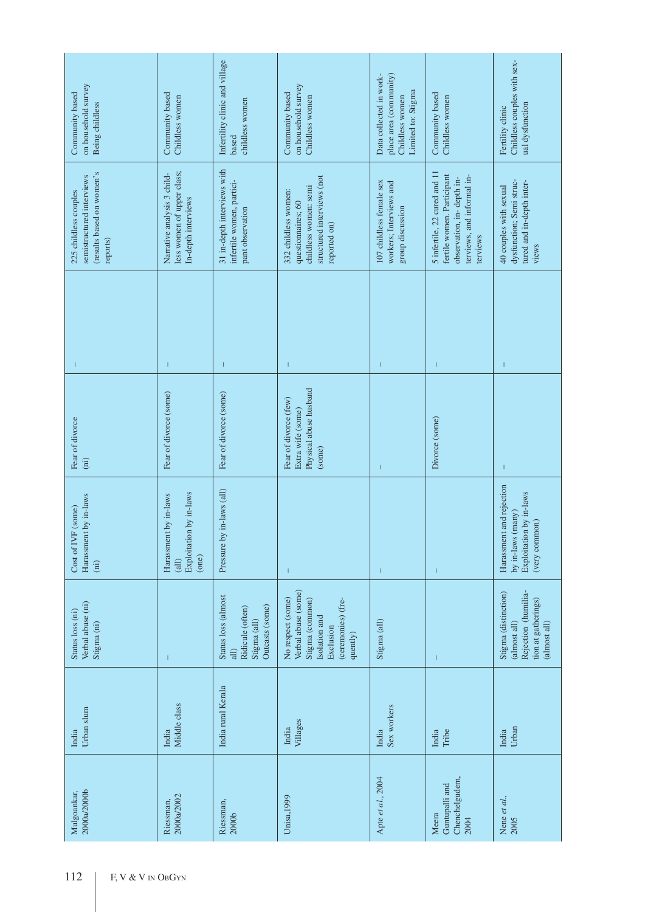| on household survey<br>Community based<br>Being childless                                   | Community based<br>Childless women                                               | Infertility clinic and village<br>childless women<br>based                                            | on household survey<br>Community based<br>Childless women                                                                   | place area (community)<br>Data collected in work-<br>Limited to: Stigma<br>Childless women | Community based<br>Childless women                                                                                                | Childless couples with sex-<br>ual dysfunction<br>Fertility clinic                                 |
|---------------------------------------------------------------------------------------------|----------------------------------------------------------------------------------|-------------------------------------------------------------------------------------------------------|-----------------------------------------------------------------------------------------------------------------------------|--------------------------------------------------------------------------------------------|-----------------------------------------------------------------------------------------------------------------------------------|----------------------------------------------------------------------------------------------------|
| (results based on women's<br>semistructured interviews<br>225 childless couples<br>reports) | less women of upper class;<br>Narrative analysis 3 child-<br>In-depth interviews | 31 in-depth interviews with<br>infertile women, partici-<br>pant observation                          | structured interviews (not<br>childless women: semi<br>332 childless women:<br>questionnaires; 60<br>reported on)           | 107 childless female sex<br>workers; Interviews and<br>group discussion                    | 5 infertile, 22 cured and 11<br>fertile women. Participant<br>terviews, and informal in-<br>observation, in-depth in-<br>terviews | dysfunction; Semi struc-<br>tured and in-depth inter-<br>40 couples with sexual<br>views           |
|                                                                                             |                                                                                  | T                                                                                                     | 1                                                                                                                           | I                                                                                          |                                                                                                                                   |                                                                                                    |
| Fear of divorce<br>(iii)                                                                    | Fear of divorce (some)                                                           | Fear of divorce (some)                                                                                | Physical abuse husband<br>Fear of divorce (few)<br>Extra wife (some)<br>(some)                                              |                                                                                            | Divorce (some)                                                                                                                    |                                                                                                    |
| Harassment by in-laws<br>Cost of IVF (some)<br>(iii)                                        | Exploitation by in-laws<br>Harassment by in-laws<br>(one)<br>(dil)               | Pressure by in-laws (all)                                                                             | 1                                                                                                                           | $\mathsf I$                                                                                | $\overline{\phantom{a}}$                                                                                                          | Harassment and rejection<br>Exploitation by in-laws<br>by in-laws (many)<br>(very common)          |
| Verbal abuse (ni)<br>Status loss (ni)<br>Stigma (ni)                                        | 1                                                                                | Status loss (almost<br>Outcasts (some)<br>Ridicule (often)<br>Stigma (all)<br>$\overline{\text{all}}$ | Verbal abuse (some)<br>No respect (some)<br>Stigma (common)<br>(ceremonies) (fre-<br>Isolation and<br>Exclusion<br>quently) | Stigma (all)                                                                               | $\overline{\phantom{a}}$                                                                                                          | Stigma (distinction)<br>Rejection (humilia-<br>tion at gatherings)<br>(almost all)<br>(almost all) |
| Urban slum<br>India                                                                         | Middle class<br>India                                                            | India rural Kerala                                                                                    | Villages<br>India                                                                                                           | Sex workers<br>India                                                                       | Tribe<br>India                                                                                                                    | Urban<br>India                                                                                     |
| 2000a/2000b<br>Mulgoankar,                                                                  | 2000a/2002<br>Riessman,                                                          | Riessman,<br>2000b                                                                                    | Unisa, 1999                                                                                                                 | Apte et al., 2004                                                                          | Chenchelgudem,<br>Guntupalli and<br>Meera<br>2004                                                                                 | Nene et al.,<br>2005                                                                               |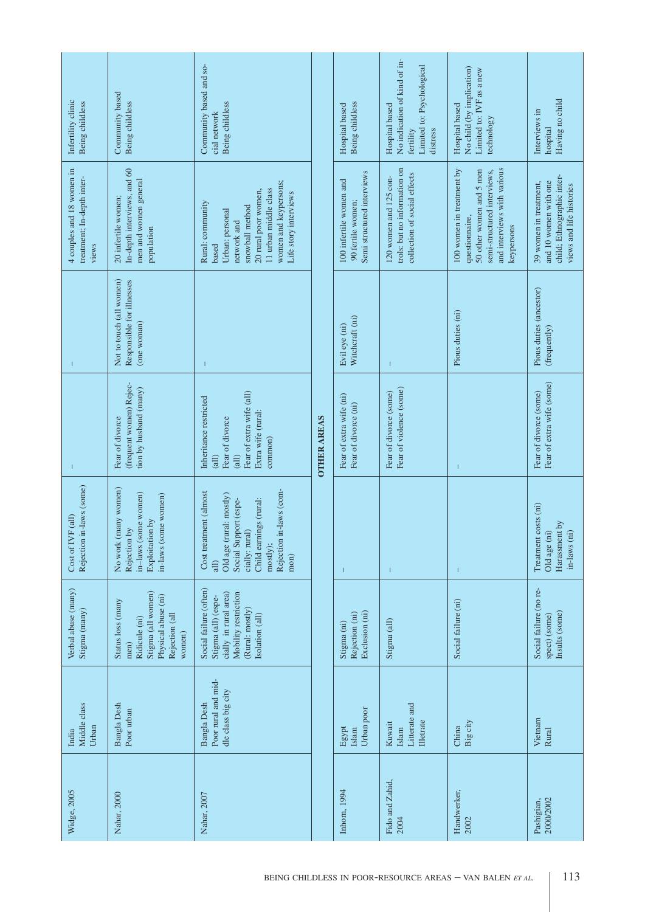| Infertility clinic<br>Being childless                            | Community based<br>Being childless                                                                                  | Community based and so-<br>Being childless<br>cial network                                                                                                                        |                    | Being childless<br>Hospital based                                          | No indication of kind of in-<br>Limited to: Psychological<br>Hospital based<br>fertility<br>distress | No child (by implication)<br>Limited to: IVF as a new<br>Hospital based<br>technology                                                               | Having no child<br>Interviews in<br>hospital                                                              |
|------------------------------------------------------------------|---------------------------------------------------------------------------------------------------------------------|-----------------------------------------------------------------------------------------------------------------------------------------------------------------------------------|--------------------|----------------------------------------------------------------------------|------------------------------------------------------------------------------------------------------|-----------------------------------------------------------------------------------------------------------------------------------------------------|-----------------------------------------------------------------------------------------------------------|
| 4 couples and 18 women in<br>treatment; In-depth inter-<br>views | In-depth interviews, and 60<br>men and women general<br>20 infertile women;<br>population                           | women and keypersons;<br>11 urban middle class<br>20 rural poor women,<br>Life story interviews<br>Rural: community<br>snowball method<br>Urban: personal<br>network and<br>based |                    | Semi structured interviews<br>100 infertile women and<br>90 fertile women; | trols: but no information on<br>collection of social effects<br>120 women and 125 con-               | and interviews with various<br>100 women in treatment by<br>50 other women and 5 men<br>semi-structured interviews,<br>questionnaire,<br>keypersons | child; Ethnographic inter-<br>and 10 women with one<br>39 women in treatment,<br>views and life histories |
|                                                                  | Not to touch (all women)<br>Responsible for illnesses<br>(one woman)                                                | $\mathbf{I}$                                                                                                                                                                      |                    | Witchcraft (ni)<br>Evil eye (ni)                                           | т                                                                                                    | Pious duties (ni)                                                                                                                                   | Pious duties (ancestor)<br>(frequently)                                                                   |
|                                                                  | (frequent women) Rejec-<br>tion by husband (many)<br>Fear of divorce                                                | Fear of extra wife (all)<br>Inheritance restricted<br>Extra wife (rural:<br>Fear of divorce<br>common)<br>(ial)<br>(iil)                                                          | <b>OTHER AREAS</b> | Fear of extra wife (ni)<br>Fear of divorce (ni)                            | Fear of violence (some)<br>Fear of divorce (some)                                                    |                                                                                                                                                     | Fear of extra wife (some)<br>Fear of divorce (some)                                                       |
| Rejection in-laws (some)<br><sup>TF</sup> (all)<br>Cost of IV    | No work (many women)<br>in-laws (some women)<br>in-laws (some women)<br>Exploitation by<br>Rejection by             | in-laws (com-<br>Cost treatment (almost<br>Old age (rural: mostly)<br>Social Support (espe-<br>Child earnings (rural:<br>cially: rural)<br>Rejection<br>mostly);<br>mon)<br>all)  |                    |                                                                            | T                                                                                                    |                                                                                                                                                     | costs (ni)<br>Harassment by<br>in-laws (ni)<br>Old age (ni)<br>Treatment                                  |
| Verbal abuse (many)<br>Stigma (many)                             | Stigma (all women)<br>Physical abuse (ni)<br>Status loss (many<br>Rejection (all<br>Ridicule (ni)<br>women)<br>men) | Social failure (often)<br>cially in rural area)<br>Mobility restriction<br>Stigma (all) (espe-<br>(Rural: mostly)<br>Isolation (all)                                              |                    | Exclusion (ni)<br>Rejection (ni)<br>Stigma (ni)                            | Stigma (all)                                                                                         | Social failure (ni)                                                                                                                                 | Social failure (no re-<br>Insults (some)<br>spect) (some)                                                 |
| Middle class<br>Urban<br>India                                   | Bangla Desh<br>Poor urban                                                                                           | Poor rural and mid-<br>dle class big city<br>Bangla Desh                                                                                                                          |                    | Urban poor<br>Egypt<br>Islam                                               | Litterate and<br><b>Illetrate</b><br>Kuwait<br>Islam                                                 | Big city<br>China                                                                                                                                   | Vietnam<br>Rural                                                                                          |
| Widge, 2005                                                      | Nahar, 2000                                                                                                         | Nahar, 2007                                                                                                                                                                       |                    | Inhorn, 1994                                                               | Fido and Zahid,<br>2004                                                                              | Handwerker,<br>2002                                                                                                                                 | 2000/2002<br>Pashigian,                                                                                   |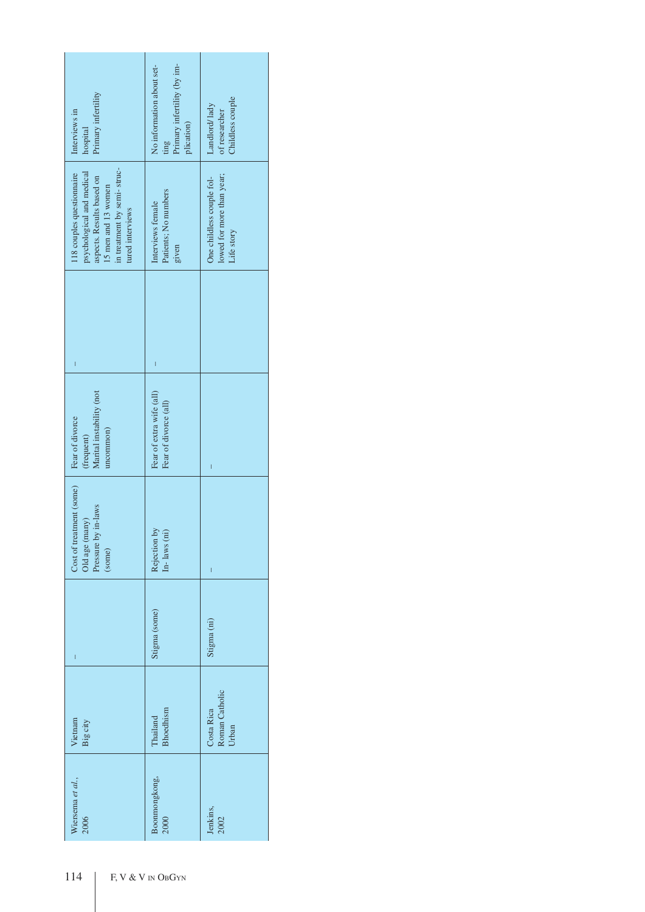| Primary infertility<br>Interviews in<br>hospital                                                                                                              | Primary infertility (by im-<br>No information about set-<br>plication)<br>ting | Childless couple<br>Landlord/lady<br>of researcher                   |
|---------------------------------------------------------------------------------------------------------------------------------------------------------------|--------------------------------------------------------------------------------|----------------------------------------------------------------------|
| in treatment by semi-struc-<br>psychological and medical<br>118 couples questionnaire<br>aspects. Results based on<br>15 men and 13 women<br>tured interviews | Patients; No numbers<br>Interviews female<br>given                             | lowed for more than year;<br>One childless couple fol-<br>Life story |
| $\overline{\phantom{a}}$                                                                                                                                      | I                                                                              |                                                                      |
| Marital instability (not<br>Fear of divorce<br>uncommon)<br>(frequent)                                                                                        | Fear of extra wife (all)<br>Fear of divorce (all)                              | I                                                                    |
| Cost of treatment (some)<br>Old age (many)<br>Pressure by in-laws<br>(some)                                                                                   | Rejection by<br>(in<br>$In-1$ aws (                                            | I                                                                    |
| $\overline{\phantom{a}}$                                                                                                                                      | Stigma (some)                                                                  | Stigma (ni)                                                          |
| Vietnam<br>Big city                                                                                                                                           | Bhoedhism<br>Thailand                                                          | Roman Catholic<br>Costa Rica<br>Urban                                |
| Wiersema et al.,<br>2006                                                                                                                                      | Boonmongkong,<br>2000                                                          | Jenkins,<br>2002                                                     |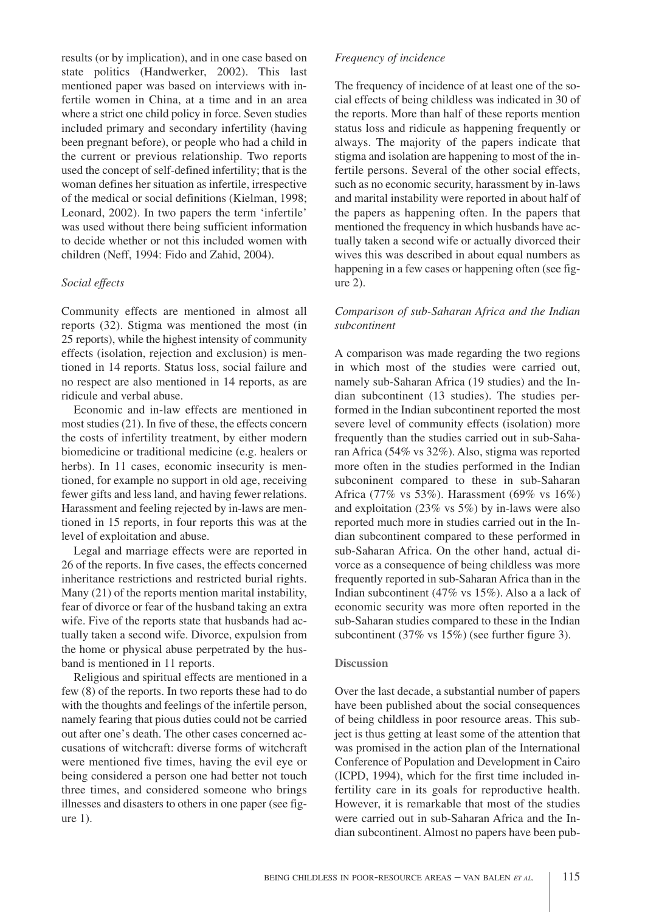results (or by implication), and in one case based on state politics (Handwerker, 2002). This last mentioned paper was based on interviews with infertile women in China, at a time and in an area where a strict one child policy in force. Seven studies included primary and secondary infertility (having been pregnant before), or people who had a child in the current or previous relationship. Two reports used the concept of self-defined infertility; that is the woman defines her situation as infertile, irrespective of the medical or social definitions (Kielman, 1998; Leonard, 2002). In two papers the term 'infertile' was used without there being sufficient information to decide whether or not this included women with children (Neff, 1994: Fido and Zahid, 2004).

## *Social effects*

Community effects are mentioned in almost all reports (32). Stigma was mentioned the most (in 25 reports), while the highest intensity of community effects (isolation, rejection and exclusion) is mentioned in 14 reports. Status loss, social failure and no respect are also mentioned in 14 reports, as are ridicule and verbal abuse.

Economic and in-law effects are mentioned in most studies (21). In five of these, the effects concern the costs of infertility treatment, by either modern biomedicine or traditional medicine (e.g. healers or herbs). In 11 cases, economic insecurity is mentioned, for example no support in old age, receiving fewer gifts and less land, and having fewer relations. Harassment and feeling rejected by in-laws are mentioned in 15 reports, in four reports this was at the level of exploitation and abuse.

Legal and marriage effects were are reported in 26 of the reports. In five cases, the effects concerned inheritance restrictions and restricted burial rights. Many (21) of the reports mention marital instability, fear of divorce or fear of the husband taking an extra wife. Five of the reports state that husbands had actually taken a second wife. Divorce, expulsion from the home or physical abuse perpetrated by the husband is mentioned in 11 reports.

Religious and spiritual effects are mentioned in a few (8) of the reports. In two reports these had to do with the thoughts and feelings of the infertile person, namely fearing that pious duties could not be carried out after one's death. The other cases concerned accusations of witchcraft: diverse forms of witchcraft were mentioned five times, having the evil eye or being considered a person one had better not touch three times, and considered someone who brings illnesses and disasters to others in one paper (see figure 1).

## *Frequency of incidence*

The frequency of incidence of at least one of the social effects of being childless was indicated in 30 of the reports. More than half of these reports mention status loss and ridicule as happening frequently or always. The majority of the papers indicate that stigma and isolation are happening to most of the infertile persons. Several of the other social effects, such as no economic security, harassment by in-laws and marital instability were reported in about half of the papers as happening often. In the papers that mentioned the frequency in which husbands have actually taken a second wife or actually divorced their wives this was described in about equal numbers as happening in a few cases or happening often (see figure 2).

## *Comparison of sub-Saharan Africa and the Indian subcontinent*

A comparison was made regarding the two regions in which most of the studies were carried out, namely sub-Saharan Africa (19 studies) and the Indian subcontinent (13 studies). The studies performed in the Indian subcontinent reported the most severe level of community effects (isolation) more frequently than the studies carried out in sub-Saharan Africa (54% vs 32%). Also, stigma was reported more often in the studies performed in the Indian subconinent compared to these in sub-Saharan Africa (77% vs 53%). Harassment (69% vs 16%) and exploitation (23% vs 5%) by in-laws were also reported much more in studies carried out in the Indian subcontinent compared to these performed in sub-Saharan Africa. On the other hand, actual divorce as a consequence of being childless was more frequently reported in sub-Saharan Africa than in the Indian subcontinent (47% vs 15%). Also a a lack of economic security was more often reported in the sub-Saharan studies compared to these in the Indian subcontinent (37% vs 15%) (see further figure 3).

#### **Discussion**

Over the last decade, a substantial number of papers have been published about the social consequences of being childless in poor resource areas. This subject is thus getting at least some of the attention that was promised in the action plan of the International Conference of Population and Development in Cairo (ICPD, 1994), which for the first time included infertility care in its goals for reproductive health. However, it is remarkable that most of the studies were carried out in sub-Saharan Africa and the Indian subcontinent. Almost no papers have been pub-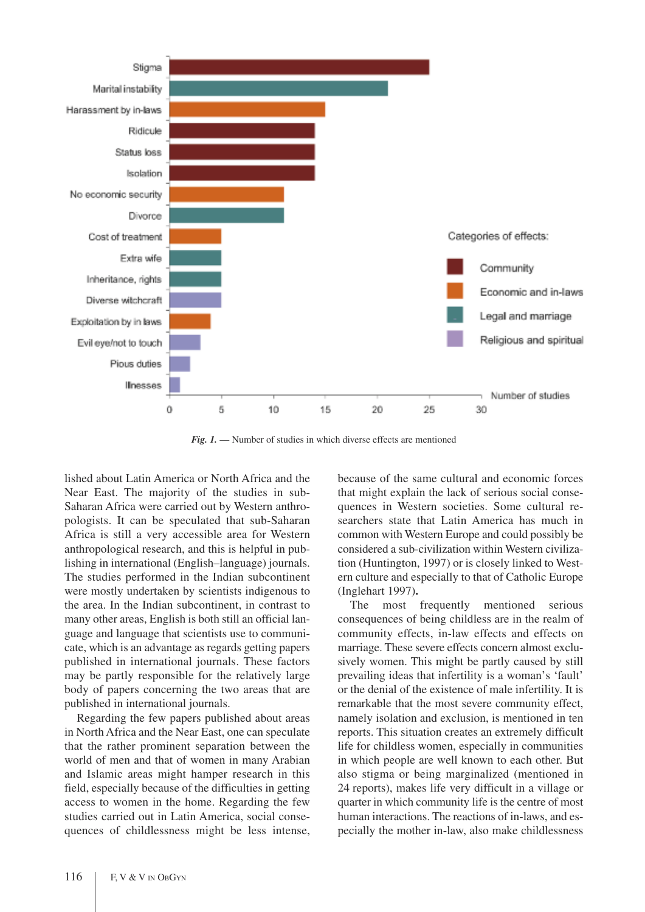

*Fig. 1.* — Number of studies in which diverse effects are mentioned

lished about Latin America or North Africa and the Near East. The majority of the studies in sub-Saharan Africa were carried out by Western anthropologists. It can be speculated that sub-Saharan Africa is still a very accessible area for Western anthropological research, and this is helpful in publishing in international (English–language) journals. The studies performed in the Indian subcontinent were mostly undertaken by scientists indigenous to the area. In the Indian subcontinent, in contrast to many other areas, English is both still an official language and language that scientists use to communicate, which is an advantage as regards getting papers published in international journals. These factors may be partly responsible for the relatively large body of papers concerning the two areas that are published in international journals.

Regarding the few papers published about areas in North Africa and the Near East, one can speculate that the rather prominent separation between the world of men and that of women in many Arabian and Islamic areas might hamper research in this field, especially because of the difficulties in getting access to women in the home. Regarding the few studies carried out in Latin America, social consequences of childlessness might be less intense, because of the same cultural and economic forces that might explain the lack of serious social consequences in Western societies. Some cultural researchers state that Latin America has much in common with Western Europe and could possibly be considered a sub-civilization within Western civilization (Huntington, 1997) or is closely linked to Western culture and especially to that of Catholic Europe (Inglehart 1997)**.**

The most frequently mentioned serious consequences of being childless are in the realm of community effects, in-law effects and effects on marriage. These severe effects concern almost exclusively women. This might be partly caused by still prevailing ideas that infertility is a woman's 'fault' or the denial of the existence of male infertility. It is remarkable that the most severe community effect, namely isolation and exclusion, is mentioned in ten reports. This situation creates an extremely difficult life for childless women, especially in communities in which people are well known to each other. But also stigma or being marginalized (mentioned in 24 reports), makes life very difficult in a village or quarter in which community life is the centre of most human interactions. The reactions of in-laws, and especially the mother in-law, also make childlessness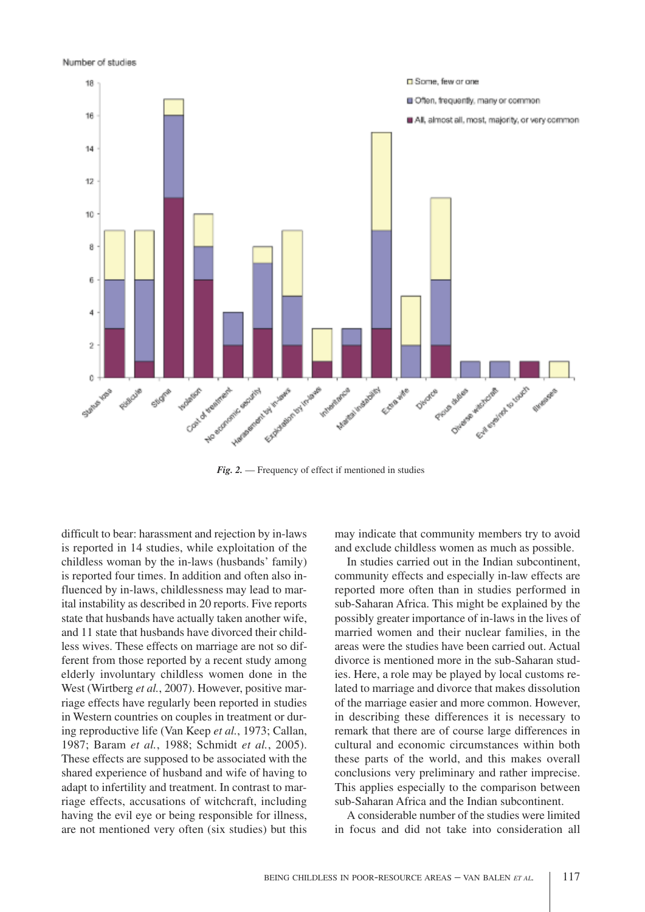Number of studies



*Fig. 2.* — Frequency of effect if mentioned in studies

difficult to bear: harassment and rejection by in-laws is reported in 14 studies, while exploitation of the childless woman by the in-laws (husbands' family) is reported four times. In addition and often also influenced by in-laws, childlessness may lead to marital instability as described in 20 reports. Five reports state that husbands have actually taken another wife, and 11 state that husbands have divorced their childless wives. These effects on marriage are not so different from those reported by a recent study among elderly involuntary childless women done in the West (Wirtberg *et al.*, 2007). However, positive marriage effects have regularly been reported in studies in Western countries on couples in treatment or during reproductive life (Van Keep *et al.*, 1973; Callan, 1987; Baram *et al.*, 1988; Schmidt *et al.*, 2005). These effects are supposed to be associated with the shared experience of husband and wife of having to adapt to infertility and treatment. In contrast to marriage effects, accusations of witchcraft, including having the evil eye or being responsible for illness, are not mentioned very often (six studies) but this may indicate that community members try to avoid and exclude childless women as much as possible.

In studies carried out in the Indian subcontinent, community effects and especially in-law effects are reported more often than in studies performed in sub-Saharan Africa. This might be explained by the possibly greater importance of in-laws in the lives of married women and their nuclear families, in the areas were the studies have been carried out. Actual divorce is mentioned more in the sub-Saharan studies. Here, a role may be played by local customs related to marriage and divorce that makes dissolution of the marriage easier and more common. However, in describing these differences it is necessary to remark that there are of course large differences in cultural and economic circumstances within both these parts of the world, and this makes overall conclusions very preliminary and rather imprecise. This applies especially to the comparison between sub-Saharan Africa and the Indian subcontinent.

A considerable number of the studies were limited in focus and did not take into consideration all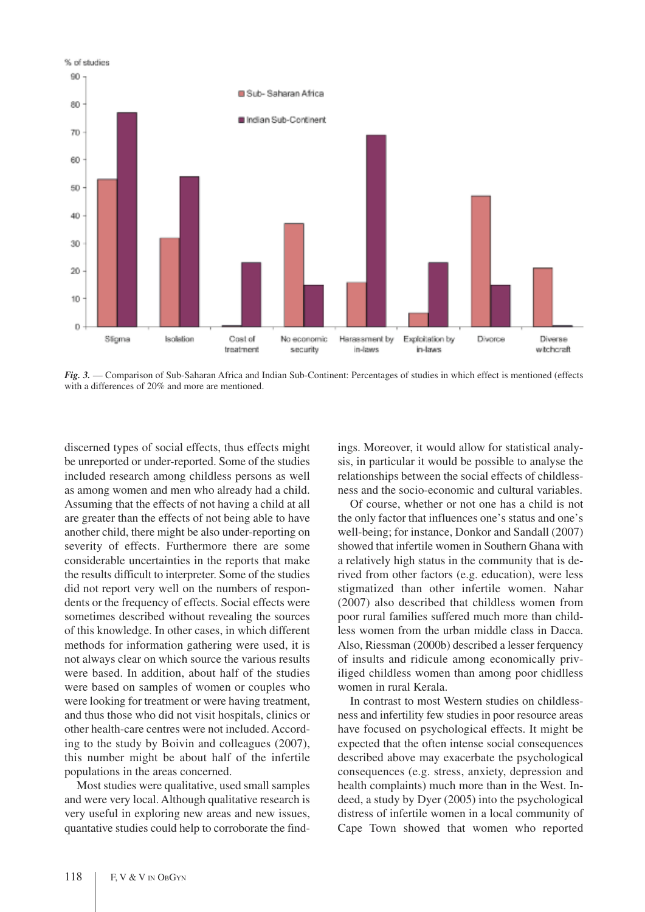

*Fig. 3.* — Comparison of Sub-Saharan Africa and Indian Sub-Continent: Percentages of studies in which effect is mentioned (effects with a differences of 20% and more are mentioned.

discerned types of social effects, thus effects might be unreported or under-reported. Some of the studies included research among childless persons as well as among women and men who already had a child. Assuming that the effects of not having a child at all are greater than the effects of not being able to have another child, there might be also under-reporting on severity of effects. Furthermore there are some considerable uncertainties in the reports that make the results difficult to interpreter. Some of the studies did not report very well on the numbers of respondents or the frequency of effects. Social effects were sometimes described without revealing the sources of this knowledge. In other cases, in which different methods for information gathering were used, it is not always clear on which source the various results were based. In addition, about half of the studies were based on samples of women or couples who were looking for treatment or were having treatment, and thus those who did not visit hospitals, clinics or other health-care centres were not included. According to the study by Boivin and colleagues (2007), this number might be about half of the infertile populations in the areas concerned.

Most studies were qualitative, used small samples and were very local. Although qualitative research is very useful in exploring new areas and new issues, quantative studies could help to corroborate the findings. Moreover, it would allow for statistical analysis, in particular it would be possible to analyse the relationships between the social effects of childlessness and the socio-economic and cultural variables.

Of course, whether or not one has a child is not the only factor that influences one's status and one's well-being; for instance, Donkor and Sandall (2007) showed that infertile women in Southern Ghana with a relatively high status in the community that is derived from other factors (e.g. education), were less stigmatized than other infertile women. Nahar (2007) also described that childless women from poor rural families suffered much more than childless women from the urban middle class in Dacca. Also, Riessman (2000b) described a lesser ferquency of insults and ridicule among economically priviliged childless women than among poor chidlless women in rural Kerala.

In contrast to most Western studies on childlessness and infertility few studies in poor resource areas have focused on psychological effects. It might be expected that the often intense social consequences described above may exacerbate the psychological consequences (e.g. stress, anxiety, depression and health complaints) much more than in the West. Indeed, a study by Dyer (2005) into the psychological distress of infertile women in a local community of Cape Town showed that women who reported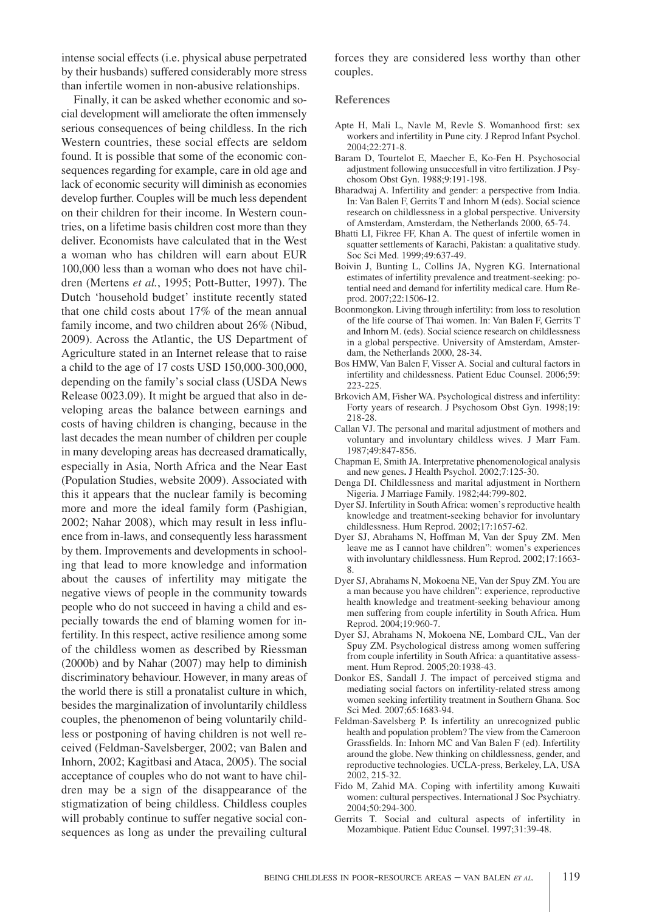intense social effects (i.e. physical abuse perpetrated by their husbands) suffered considerably more stress than infertile women in non-abusive relationships.

Finally, it can be asked whether economic and social development will ameliorate the often immensely serious consequences of being childless. In the rich Western countries, these social effects are seldom found. It is possible that some of the economic consequences regarding for example, care in old age and lack of economic security will diminish as economies develop further. Couples will be much less dependent on their children for their income. In Western countries, on a lifetime basis children cost more than they deliver. Economists have calculated that in the West a woman who has children will earn about EUR 100,000 less than a woman who does not have children (Mertens *et al.*, 1995; Pott-Butter, 1997). The Dutch 'household budget' institute recently stated that one child costs about 17% of the mean annual family income, and two children about 26% (Nibud, 2009). Across the Atlantic, the US Department of Agriculture stated in an Internet release that to raise a child to the age of 17 costs USD 150,000-300,000, depending on the family's social class (USDA News Release 0023.09). It might be argued that also in developing areas the balance between earnings and costs of having children is changing, because in the last decades the mean number of children per couple in many developing areas has decreased dramatically, especially in Asia, North Africa and the Near East (Population Studies, website 2009). Associated with this it appears that the nuclear family is becoming more and more the ideal family form (Pashigian, 2002; Nahar 2008), which may result in less influence from in-laws, and consequently less harassment by them. Improvements and developments in schooling that lead to more knowledge and information about the causes of infertility may mitigate the negative views of people in the community towards people who do not succeed in having a child and especially towards the end of blaming women for infertility. In this respect, active resilience among some of the childless women as described by Riessman (2000b) and by Nahar (2007) may help to diminish discriminatory behaviour. However, in many areas of the world there is still a pronatalist culture in which, besides the marginalization of involuntarily childless couples, the phenomenon of being voluntarily childless or postponing of having children is not well received (Feldman-Savelsberger, 2002; van Balen and Inhorn, 2002; Kagitbasi and Ataca, 2005). The social acceptance of couples who do not want to have children may be a sign of the disappearance of the stigmatization of being childless. Childless couples will probably continue to suffer negative social consequences as long as under the prevailing cultural

forces they are considered less worthy than other couples.

#### **References**

- Apte H, Mali L, Navle M, Revle S. Womanhood first: sex workers and infertility in Pune city. J Reprod Infant Psychol. 2004;22:271-8.
- Baram D, Tourtelot E, Maecher E, Ko-Fen H. Psychosocial adjustment following unsuccesfull in vitro fertilization. J Psychosom Obst Gyn. 1988;9:191-198.
- Bharadwaj A. Infertility and gender: a perspective from India. In: Van Balen F, Gerrits T and Inhorn M (eds). Social science research on childlessness in a global perspective. University of Amsterdam, Amsterdam, the Netherlands 2000, 65-74.
- Bhatti LI, Fikree FF, Khan A. The quest of infertile women in squatter settlements of Karachi, Pakistan: a qualitative study. Soc Sci Med. 1999;49:637-49.
- Boivin J, Bunting L, Collins JA, Nygren KG. International estimates of infertility prevalence and treatment-seeking: potential need and demand for infertility medical care. Hum Reprod. 2007;22:1506-12.
- Boonmongkon. Living through infertility: from loss to resolution of the life course of Thai women. In: Van Balen F, Gerrits T and Inhorn M. (eds). Social science research on childlessness in a global perspective. University of Amsterdam, Amsterdam, the Netherlands 2000, 28-34.
- Bos HMW, Van Balen F, Visser A. Social and cultural factors in infertility and childessness. Patient Educ Counsel. 2006;59: 223-225.
- Brkovich AM, Fisher WA. Psychological distress and infertility: Forty years of research. J Psychosom Obst Gyn. 1998;19: 218-28.
- Callan VJ. The personal and marital adjustment of mothers and voluntary and involuntary childless wives. J Marr Fam. 1987;49:847-856.
- Chapman E, Smith JA. Interpretative phenomenological analysis and new genes**.** J Health Psychol. 2002;7:125-30.
- Denga DI. Childlessness and marital adjustment in Northern Nigeria. J Marriage Family. 1982;44:799-802.
- Dyer SJ. Infertility in South Africa: women's reproductive health knowledge and treatment-seeking behavior for involuntary childlessness. Hum Reprod. 2002;17:1657-62.
- Dyer SJ, Abrahams N, Hoffman M, Van der Spuy ZM. Men leave me as I cannot have children": women's experiences with involuntary childlessness. Hum Reprod. 2002;17:1663- 8.
- Dyer SJ, Abrahams N, Mokoena NE, Van der Spuy ZM.You are a man because you have children": experience, reproductive health knowledge and treatment-seeking behaviour among men suffering from couple infertility in South Africa. Hum Reprod. 2004;19:960-7.
- Dyer SJ, Abrahams N, Mokoena NE, Lombard CJL, Van der Spuy ZM. Psychological distress among women suffering from couple infertility in South Africa: a quantitative assessment. Hum Reprod. 2005;20:1938-43.
- Donkor ES, Sandall J. The impact of perceived stigma and mediating social factors on infertility-related stress among women seeking infertility treatment in Southern Ghana. Soc Sci Med. 2007;65:1683-94.
- Feldman-Savelsberg P. Is infertility an unrecognized public health and population problem? The view from the Cameroon Grassfields. In: Inhorn MC and Van Balen F (ed). Infertility around the globe. New thinking on childlessness, gender, and reproductive technologies. UCLA-press, Berkeley, LA, USA 2002, 215-32.
- Fido M, Zahid MA. Coping with infertility among Kuwaiti women: cultural perspectives. International J Soc Psychiatry. 2004;50:294-300.
- Gerrits T. Social and cultural aspects of infertility in Mozambique. Patient Educ Counsel. 1997;31:39-48.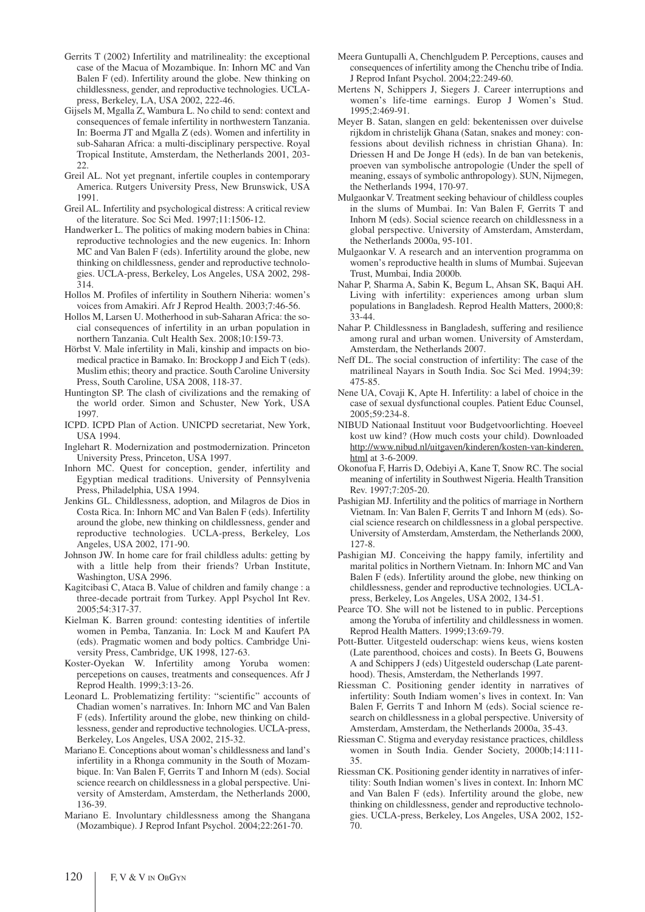- Gerrits T (2002) Infertility and matrilineality: the exceptional case of the Macua of Mozambique. In: Inhorn MC and Van Balen F (ed). Infertility around the globe. New thinking on childlessness, gender, and reproductive technologies. UCLApress, Berkeley, LA, USA 2002, 222-46.
- Gijsels M, Mgalla Z, Wambura L. No child to send: context and consequences of female infertility in northwestern Tanzania. In: Boerma JT and Mgalla Z (eds). Women and infertility in sub-Saharan Africa: a multi-disciplinary perspective. Royal Tropical Institute, Amsterdam, the Netherlands 2001, 203-  $22.2$
- Greil AL. Not yet pregnant, infertile couples in contemporary America. Rutgers University Press, New Brunswick, USA 1991.
- Greil AL. Infertility and psychological distress: A critical review of the literature. Soc Sci Med. 1997;11:1506-12.
- Handwerker L. The politics of making modern babies in China: reproductive technologies and the new eugenics. In: Inhorn MC and Van Balen F (eds). Infertility around the globe, new thinking on childlessness, gender and reproductive technologies. UCLA-press, Berkeley, Los Angeles, USA 2002, 298- 314.
- Hollos M. Profiles of infertility in Southern Niheria: women's voices from Amakiri. Afr J Reprod Health. 2003;7:46-56.
- Hollos M, Larsen U. Motherhood in sub-Saharan Africa: the social consequences of infertility in an urban population in northern Tanzania. Cult Health Sex. 2008;10:159-73.
- Hörbst V. Male infertility in Mali, kinship and impacts on biomedical practice in Bamako. In: Brockopp J and Eich T (eds). Muslim ethis; theory and practice. South Caroline University Press, South Caroline, USA 2008, 118-37.
- Huntington SP. The clash of civilizations and the remaking of the world order. Simon and Schuster, New York, USA 1997.
- ICPD. ICPD Plan of Action. UNICPD secretariat, New York, USA 1994.
- Inglehart R. Modernization and postmodernization. Princeton University Press, Princeton, USA 1997.
- Inhorn MC. Quest for conception, gender, infertility and Egyptian medical traditions. University of Pennsylvenia Press, Philadelphia, USA 1994.
- Jenkins GL. Childlessness, adoption, and Milagros de Dios in Costa Rica. In: Inhorn MC and Van Balen F (eds). Infertility around the globe, new thinking on childlessness, gender and reproductive technologies. UCLA-press, Berkeley, Los Angeles, USA 2002, 171-90.
- Johnson JW. In home care for frail childless adults: getting by with a little help from their friends? Urban Institute, Washington, USA 2996.
- Kagitcibasi C, Ataca B. Value of children and family change : a three-decade portrait from Turkey. Appl Psychol Int Rev. 2005;54:317-37.
- Kielman K. Barren ground: contesting identities of infertile women in Pemba, Tanzania. In: Lock M and Kaufert PA (eds). Pragmatic women and body poltics. Cambridge University Press, Cambridge, UK 1998, 127-63.
- Koster-Oyekan W. Infertility among Yoruba women: percepetions on causes, treatments and consequences. Afr J Reprod Health. 1999;3:13-26.
- Leonard L. Problematizing fertility: "scientific" accounts of Chadian women's narratives. In: Inhorn MC and Van Balen F (eds). Infertility around the globe, new thinking on childlessness, gender and reproductive technologies. UCLA-press, Berkeley, Los Angeles, USA 2002, 215-32.
- Mariano E. Conceptions about woman's childlessness and land's infertility in a Rhonga community in the South of Mozambique. In: Van Balen F, Gerrits T and Inhorn M (eds). Social science reearch on childlessness in a global perspective. University of Amsterdam, Amsterdam, the Netherlands 2000, 136-39.
- Mariano E. Involuntary childlessness among the Shangana (Mozambique). J Reprod Infant Psychol. 2004;22:261-70.
- Meera Guntupalli A, Chenchlgudem P. Perceptions, causes and consequences of infertility among the Chenchu tribe of India. J Reprod Infant Psychol. 2004;22:249-60.
- Mertens N, Schippers J, Siegers J. Career interruptions and women's life-time earnings. Europ J Women's Stud. 1995;2:469-91.
- Meyer B. Satan, slangen en geld: bekentenissen over duivelse rijkdom in christelijk Ghana (Satan, snakes and money: confessions about devilish richness in christian Ghana). In: Driessen H and De Jonge H (eds). In de ban van betekenis, proeven van symbolische antropologie (Under the spell of meaning, essays of symbolic anthropology). SUN, Nijmegen, the Netherlands 1994, 170-97.
- Mulgaonkar V. Treatment seeking behaviour of childless couples in the slums of Mumbai. In: Van Balen F, Gerrits T and Inhorn M (eds). Social science reearch on childlessness in a global perspective. University of Amsterdam, Amsterdam, the Netherlands 2000a, 95-101.
- Mulgaonkar V. A research and an intervention programma on women's reproductive health in slums of Mumbai. Sujeevan Trust, Mumbai, India 2000b.
- Nahar P, Sharma A, Sabin K, Begum L, Ahsan SK, Baqui AH. Living with infertility: experiences among urban slum populations in Bangladesh. Reprod Health Matters, 2000;8: 33-44.
- Nahar P. Childlessness in Bangladesh, suffering and resilience among rural and urban women. University of Amsterdam, Amsterdam, the Netherlands 2007.
- Neff DL. The social construction of infertility: The case of the matrilineal Nayars in South India. Soc Sci Med. 1994;39: 475-85.
- Nene UA, Covaji K, Apte H. Infertility: a label of choice in the case of sexual dysfunctional couples. Patient Educ Counsel, 2005;59:234-8.
- NIBUD Nationaal Instituut voor Budgetvoorlichting. Hoeveel kost uw kind? (How much costs your child). Downloaded http://www.nibud.nl/uitgaven/kinderen/kosten-van-kinderen. html at 3-6-2009.
- Okonofua F, Harris D, Odebiyi A, Kane T, Snow RC. The social meaning of infertility in Southwest Nigeria. Health Transition Rev. 1997;7:205-20.
- Pashigian MJ. Infertility and the politics of marriage in Northern Vietnam. In: Van Balen F, Gerrits T and Inhorn M (eds). Social science research on childlessness in a global perspective. University of Amsterdam, Amsterdam, the Netherlands 2000, 127-8.
- Pashigian MJ. Conceiving the happy family, infertility and marital politics in Northern Vietnam. In: Inhorn MC and Van Balen  $\overline{F}$  (eds). Infertility around the globe, new thinking on childlessness, gender and reproductive technologies. UCLApress, Berkeley, Los Angeles, USA 2002, 134-51.
- Pearce TO. She will not be listened to in public. Perceptions among the Yoruba of infertility and childlessness in women. Reprod Health Matters. 1999;13:69-79.
- Pott-Butter. Uitgesteld ouderschap: wiens keus, wiens kosten (Late parenthood, choices and costs). In Beets G, Bouwens A and Schippers J (eds) Uitgesteld ouderschap (Late parenthood). Thesis, Amsterdam, the Netherlands 1997.
- Riessman C. Positioning gender identity in narratives of infertility: South Indiam women's lives in context. In: Van Balen F, Gerrits T and Inhorn M (eds). Social science research on childlessness in a global perspective. University of Amsterdam, Amsterdam, the Netherlands 2000a, 35-43.
- Riessman C. Stigma and everyday resistance practices, childless women in South India. Gender Society, 2000b;14:111- 35.
- Riessman CK. Positioning gender identity in narratives of infertility: South Indian women's lives in context. In: Inhorn MC and Van Balen F (eds). Infertility around the globe, new thinking on childlessness, gender and reproductive technologies. UCLA-press, Berkeley, Los Angeles, USA 2002, 152- 70.